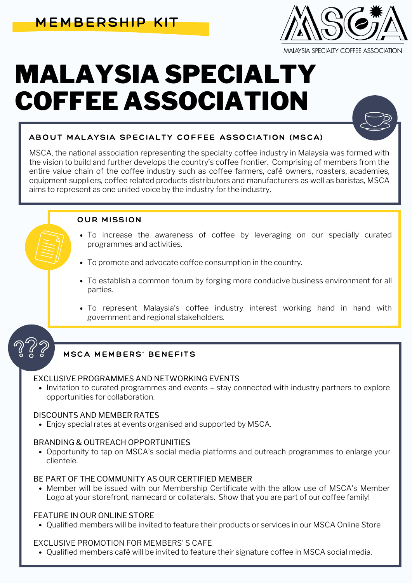

# MALAYSIA SPECIALTY COFFEE ASSOCIATION



## ABOUT MALAYSIA SPECIALTY COFFEE ASSOCIATION (MSCA)

MSCA, the national association representing the specialty coffee industry in Malaysia was formed with the vision to build and further develops the country's coffee frontier. Comprising of members from the entire value chain of the coffee industry such as coffee farmers, café owners, roasters, academies, equipment suppliers, coffee related products distributors and manufacturers as well as baristas, MSCA aims to represent as one united voice by the industry for the industry.

#### OUR MISSION

- To increase the awareness of coffee by leveraging on our specially curated programmes and activities.
- To promote and advocate coffee consumption in the country.
- To establish a common forum by forging more conducive business environment for all parties.
- To represent Malaysia's coffee industry interest working hand in hand with government and regional stakeholders.

### MSCA MEMBERS' BENEFITS

#### EXCLUSIVE PROGRAMMES AND NETWORKING EVENTS

• Invitation to curated programmes and events - stay connected with industry partners to explore opportunities for collaboration.

#### DISCOUNTS AND MEMBER RATES

Enjoy special rates at events organised and supported by MSCA.

#### BRANDING & OUTREACH OPPORTUNITIES

Opportunity to tap on MSCA's social media platforms and outreach programmes to enlarge your clientele.

#### BE PART OF THE COMMUNITY AS OUR CERTIFIED MEMBER

Member will be issued with our Membership Certificate with the allow use of MSCA's Member Logo at your storefront, namecard or collaterals. Show that you are part of our coffee family!

#### FEATURE IN OUR ONLINE STORE

Qualified members will be invited to feature their products or services in our MSCA Online Store

#### EXCLUSIVE PROMOTION FOR MEMBERS' S CAFE

Qualified members café will be invited to feature their signature coffee in MSCA social media.